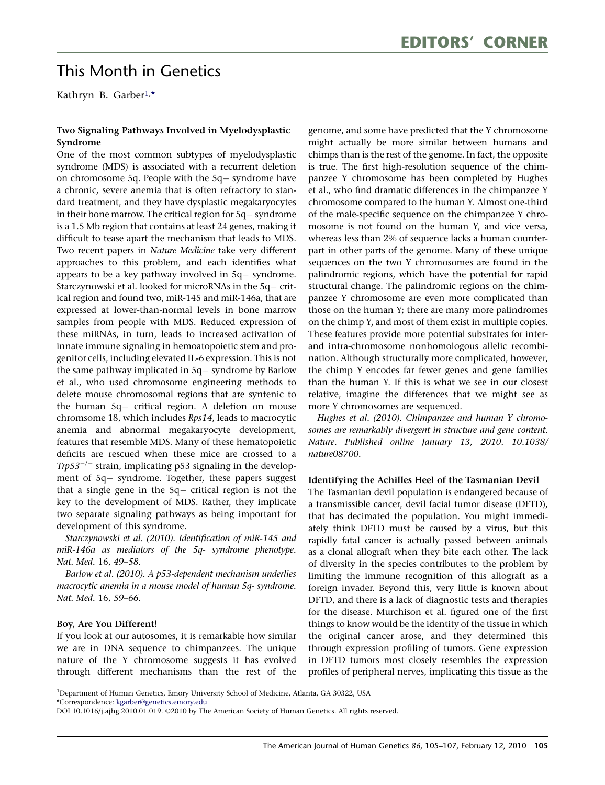# This Month in Genetics

Kathryn B. Garber1, \*

## Two Signaling Pathways Involved in Myelodysplastic Syndrome

One of the most common subtypes of myelodysplastic syndrome (MDS) is associated with a recurrent deletion on chromosome 5q. People with the 5q- syndrome have a chronic, severe anemia that is often refractory to standard treatment, and they have dysplastic megakaryocytes in their bone marrow. The critical region for 5q- syndrome is a 1.5 Mb region that contains at least 24 genes, making it difficult to tease apart the mechanism that leads to MDS. Two recent papers in Nature Medicine take very different approaches to this problem, and each identifies what appears to be a key pathway involved in 5q- syndrome. Starczynowski et al. looked for microRNAs in the 5q- critical region and found two, miR-145 and miR-146a, that are expressed at lower-than-normal levels in bone marrow samples from people with MDS. Reduced expression of these miRNAs, in turn, leads to increased activation of innate immune signaling in hemoatopoietic stem and progenitor cells, including elevated IL-6 expression. This is not the same pathway implicated in 5q- syndrome by Barlow et al., who used chromosome engineering methods to delete mouse chromosomal regions that are syntenic to the human 5q- critical region. A deletion on mouse chromsome 18, which includes Rps14, leads to macrocytic anemia and abnormal megakaryocyte development, features that resemble MDS. Many of these hematopoietic deficits are rescued when these mice are crossed to a Trp53<sup>-/-</sup> strain, implicating p53 signaling in the development of 5q- syndrome. Together, these papers suggest that a single gene in the 5q- critical region is not the key to the development of MDS. Rather, they implicate two separate signaling pathways as being important for development of this syndrome.

Starczynowski et al. (2010). Identification of miR-145 and miR-146a as mediators of the 5q- syndrome phenotype. Nat. Med. 16, 49–58.

Barlow et al. (2010). A p53-dependent mechanism underlies macrocytic anemia in a mouse model of human 5q- syndrome. Nat. Med. 16, 59–66.

#### Boy, Are You Different!

If you look at our autosomes, it is remarkable how similar we are in DNA sequence to chimpanzees. The unique nature of the Y chromosome suggests it has evolved through different mechanisms than the rest of the genome, and some have predicted that the Y chromosome might actually be more similar between humans and chimps than is the rest of the genome. In fact, the opposite is true. The first high-resolution sequence of the chimpanzee Y chromosome has been completed by Hughes et al., who find dramatic differences in the chimpanzee Y chromosome compared to the human Y. Almost one-third of the male-specific sequence on the chimpanzee Y chromosome is not found on the human Y, and vice versa, whereas less than 2% of sequence lacks a human counterpart in other parts of the genome. Many of these unique sequences on the two Y chromosomes are found in the palindromic regions, which have the potential for rapid structural change. The palindromic regions on the chimpanzee Y chromosome are even more complicated than those on the human Y; there are many more palindromes on the chimp Y, and most of them exist in multiple copies. These features provide more potential substrates for interand intra-chromosome nonhomologous allelic recombination. Although structurally more complicated, however, the chimp Y encodes far fewer genes and gene families than the human Y. If this is what we see in our closest relative, imagine the differences that we might see as more Y chromosomes are sequenced.

Hughes et al. (2010). Chimpanzee and human Y chromosomes are remarkably divergent in structure and gene content. Nature. Published online January 13, 2010. 10.1038/ nature08700.

#### Identifying the Achilles Heel of the Tasmanian Devil

The Tasmanian devil population is endangered because of a transmissible cancer, devil facial tumor disease (DFTD), that has decimated the population. You might immediately think DFTD must be caused by a virus, but this rapidly fatal cancer is actually passed between animals as a clonal allograft when they bite each other. The lack of diversity in the species contributes to the problem by limiting the immune recognition of this allograft as a foreign invader. Beyond this, very little is known about DFTD, and there is a lack of diagnostic tests and therapies for the disease. Murchison et al. figured one of the first things to know would be the identity of the tissue in which the original cancer arose, and they determined this through expression profiling of tumors. Gene expression in DFTD tumors most closely resembles the expression profiles of peripheral nerves, implicating this tissue as the

<sup>&</sup>lt;sup>1</sup>Department of Human Genetics, Emory University School of Medicine, Atlanta, GA 30322, USA

<sup>\*</sup>Correspondence: [kgarber@genetics.emory.edu](mailto:kgarber@genetics.emory.edu)

DOI 10.1016/j.ajhg.2010.01.019. @2010 by The American Society of Human Genetics. All rights reserved.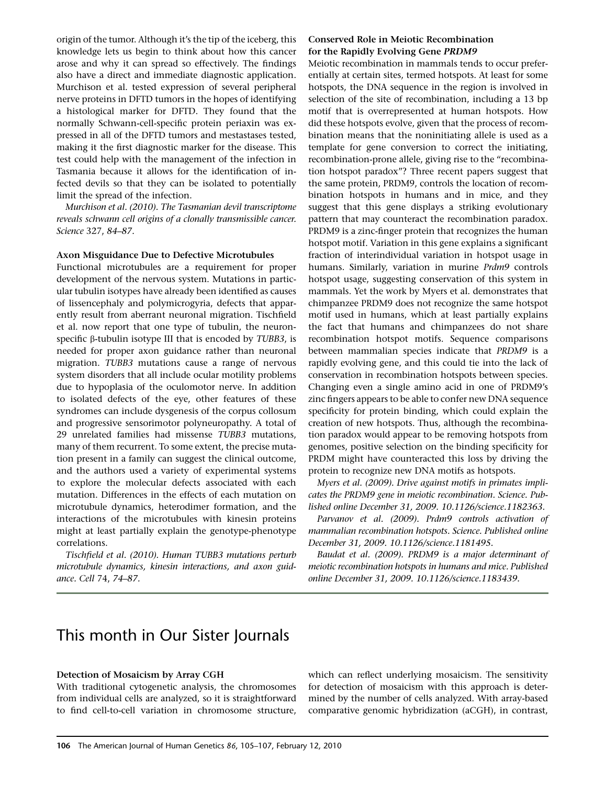origin of the tumor. Although it's the tip of the iceberg, this knowledge lets us begin to think about how this cancer arose and why it can spread so effectively. The findings also have a direct and immediate diagnostic application. Murchison et al. tested expression of several peripheral nerve proteins in DFTD tumors in the hopes of identifying a histological marker for DFTD. They found that the normally Schwann-cell-specific protein periaxin was expressed in all of the DFTD tumors and mestastases tested, making it the first diagnostic marker for the disease. This test could help with the management of the infection in Tasmania because it allows for the identification of infected devils so that they can be isolated to potentially limit the spread of the infection.

Murchison et al. (2010). The Tasmanian devil transcriptome reveals schwann cell origins of a clonally transmissible cancer. Science 327, 84–87.

#### Axon Misguidance Due to Defective Microtubules

Functional microtubules are a requirement for proper development of the nervous system. Mutations in particular tubulin isotypes have already been identified as causes of lissencephaly and polymicrogyria, defects that apparently result from aberrant neuronal migration. Tischfield et al. now report that one type of tubulin, the neuronspecific  $\beta$ -tubulin isotype III that is encoded by *TUBB3*, is needed for proper axon guidance rather than neuronal migration. TUBB3 mutations cause a range of nervous system disorders that all include ocular motility problems due to hypoplasia of the oculomotor nerve. In addition to isolated defects of the eye, other features of these syndromes can include dysgenesis of the corpus collosum and progressive sensorimotor polyneuropathy. A total of 29 unrelated families had missense TUBB3 mutations, many of them recurrent. To some extent, the precise mutation present in a family can suggest the clinical outcome, and the authors used a variety of experimental systems to explore the molecular defects associated with each mutation. Differences in the effects of each mutation on microtubule dynamics, heterodimer formation, and the interactions of the microtubules with kinesin proteins might at least partially explain the genotype-phenotype correlations.

Tischfield et al. (2010). Human TUBB3 mutations perturb microtubule dynamics, kinesin interactions, and axon guidance. Cell 74, 74–87.

### Conserved Role in Meiotic Recombination for the Rapidly Evolving Gene PRDM9

Meiotic recombination in mammals tends to occur preferentially at certain sites, termed hotspots. At least for some hotspots, the DNA sequence in the region is involved in selection of the site of recombination, including a 13 bp motif that is overrepresented at human hotspots. How did these hotspots evolve, given that the process of recombination means that the noninitiating allele is used as a template for gene conversion to correct the initiating, recombination-prone allele, giving rise to the ''recombination hotspot paradox''? Three recent papers suggest that the same protein, PRDM9, controls the location of recombination hotspots in humans and in mice, and they suggest that this gene displays a striking evolutionary pattern that may counteract the recombination paradox. PRDM9 is a zinc-finger protein that recognizes the human hotspot motif. Variation in this gene explains a significant fraction of interindividual variation in hotspot usage in humans. Similarly, variation in murine Prdm9 controls hotspot usage, suggesting conservation of this system in mammals. Yet the work by Myers et al. demonstrates that chimpanzee PRDM9 does not recognize the same hotspot motif used in humans, which at least partially explains the fact that humans and chimpanzees do not share recombination hotspot motifs. Sequence comparisons between mammalian species indicate that PRDM9 is a rapidly evolving gene, and this could tie into the lack of conservation in recombination hotspots between species. Changing even a single amino acid in one of PRDM9's zinc fingers appears to be able to confer new DNA sequence specificity for protein binding, which could explain the creation of new hotspots. Thus, although the recombination paradox would appear to be removing hotspots from genomes, positive selection on the binding specificity for PRDM might have counteracted this loss by driving the protein to recognize new DNA motifs as hotspots.

Myers et al. (2009). Drive against motifs in primates implicates the PRDM9 gene in meiotic recombination. Science. Published online December 31, 2009. 10.1126/science.1182363.

Parvanov et al. (2009). Prdm9 controls activation of mammalian recombination hotspots. Science. Published online December 31, 2009. 10.1126/science.1181495.

Baudat et al. (2009). PRDM9 is a major determinant of meiotic recombination hotspots in humans and mice. Published online December 31, 2009. 10.1126/science.1183439.

# This month in Our Sister Journals

#### Detection of Mosaicism by Array CGH

With traditional cytogenetic analysis, the chromosomes from individual cells are analyzed, so it is straightforward to find cell-to-cell variation in chromosome structure,

which can reflect underlying mosaicism. The sensitivity for detection of mosaicism with this approach is determined by the number of cells analyzed. With array-based comparative genomic hybridization (aCGH), in contrast,